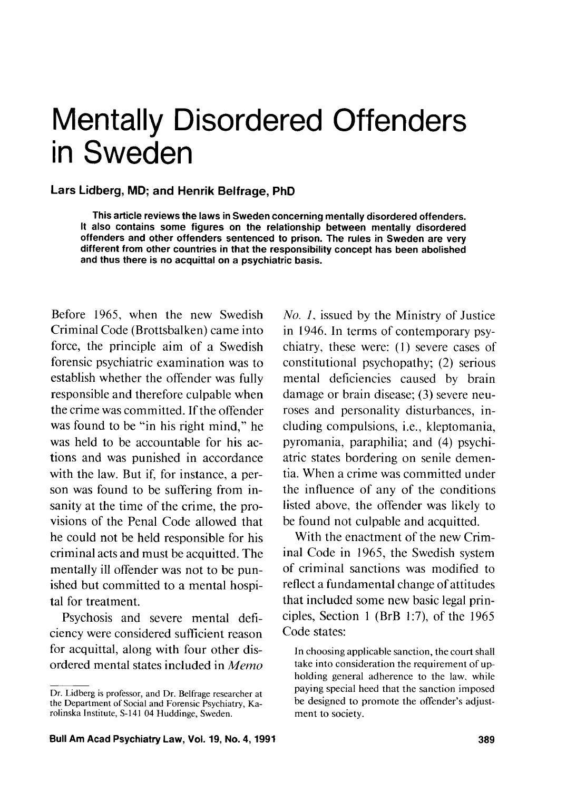# Mentally Disordered Offenders in Sweden

#### **Lars Lidberg, MD; and Henrik Belfrage, PhD**

**This article reviews the laws in Sweden concerning mentally disordered offenders. It also contains some figures on the relationship between mentally disordered offenders and other offenders sentenced to prison. The rules in Sweden are very different from other countries in that the responsibility concept has been abolished and thus there is no acquittal on a psychiatric basis.** 

Before 1965, when the new Swedish Criminal Code (Brottsbalken) came into force, the principle aim of a Swedish forensic psychiatric examination was to establish whether the offender was fully responsible and therefore culpable when the crime was committed. If the offender was found to be "in his right mind," he was held to be accountable for his actions and was punished in accordance with the law. But if, for instance, a person was found to be suffering from insanity at the time of the crime, the provisions of the Penal Code allowed that he could not be held responsible for his criminal acts and must be acquitted. The mentally ill offender was not to be punished but committed to a mental hospital for treatment.

Psychosis and severe mental deficiency were considered suficient reason for acquittal, along with four other disordered mental states included in Memo

No. I, issued by the Ministry of Justice in 1946. In terms of contemporary psychiatry, these were: (1) severe cases of constitutional psychopathy; (2) serious mental deficiencies caused by brain damage or brain disease; (3) severe neuroses and personality disturbances, including compulsions, i.e., kleptomania, pyromania, paraphilia; and (4) psychiatric states bordering on senile dementia. When a crime was committed under the influence of any of the conditions listed above, the offender was likely to be found not culpable and acquitted.

With the enactment of the new Criminal Code in 1965, the Swedish system of criminal sanctions was modified to reflect a fundamental change of attitudes that included some new basic legal principles, Section 1 (BrB 1:7), of the  $1965$ Code states:

In choosing applicable sanction, the court shall take into consideration the requirement of upholding general adherence to the law. while paying special heed that the sanction imposed be designed to promote the offender's adjustment to society.

Dr. Lidberg is professor, and Dr. Belfrage researcher at the Department of Social and Forensic Psychiatry, Karolinska Institute, S-141 04 Huddinge, Sweden.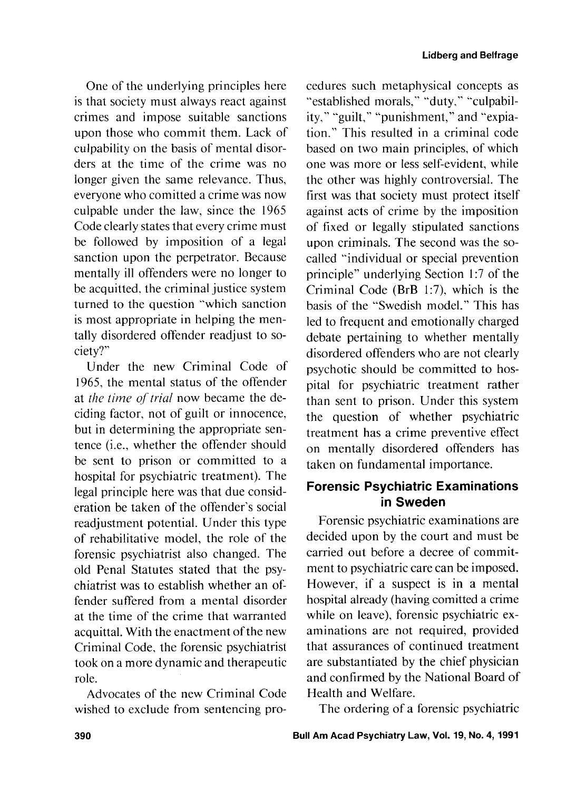One of the underlying principles here is that society must always react against crimes and impose suitable sanctions upon those who commit them. Lack of culpability on the basis of mental disorders at the time of the crime was no longer given the same relevance. Thus, everyone who comitted a crime was now culpable under the law, since the 1965 Code clearly states that every crime must be followed by imposition of a legal sanction upon the perpetrator. Because mentally ill offenders were no longer to be acquitted. the criminal justice system turned to the question "which sanction is most appropriate in helping the mentally disordered offender readjust to society?"

Under the new Criminal Code of 1965, the mental status of the offender at the *time* of trial now became the deciding factor, not of guilt or innocence, but in determining the appropriate sentence (i.e., whether the offender should be sent to prison or committed to a hospital for psychiatric treatment). The legal principle here was that due consideration be taken of the offender's social readjustment potential. Under this type of rehabilitative model, the role of the forensic psychiatrist also changed. The old Penal Statutes stated that the psychiatrist was to establish whether an offender suffered from a mental disorder at the time of the crime that warranted acquittal. With the enactment of the new Criminal Code, the forensic psychiatrist took on a more dynamic and therapeutic role.

Advocates of the new Criminal Code wished to exclude from sentencing pro-

cedures such metaphysical concepts as "established morals," "duty." "culpability," "guilt," "punishment," and "expiation." This resulted in a criminal code based on two main principles, of which one was more or less self-evident, while the other was highly controversial. The first was that society must protect itself against acts of crime by the imposition of fixed or legally stipulated sanctions upon criminals. The second was the socalled "individual or special prevention principle" underlying Section 1:7 of the Criminal Code (BrB 1:7), which is the basis of the "Swedish model." This has led to frequent and emotionally charged debate pertaining to whether mentally disordered offenders who are not clearly psychotic should be committed to hospital for psychiatric treatment rather than sent to prison. Under this system the question of whether psychiatric treatment has a crime preventive effect on mentally disordered offenders has taken on fundamental importance.

## **Forensic Psychiatric Examinations in Sweden**

Forensic psychiatric examinations are decided upon by the court and must be carried out before a decree of commitment to psychiatric care can be imposed. However, if a suspect is in a mental hospital already (having comitted a crime while on leave), forensic psychiatric examinations are not required, provided that assurances of continued treatment are substantiated by the chief physician and confirmed by the National Board of Health and Welfare.

The ordering of a forensic psychiatric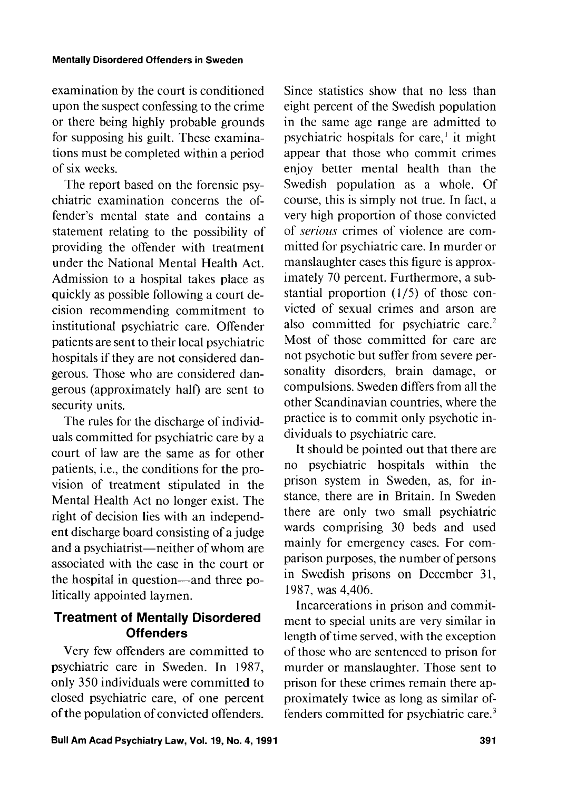examination by the court is conditioned upon the suspect confessing to the crime or there being highly probable grounds for supposing his guilt. These examinations must be completed within a period of six weeks.

The report based on the forensic psychiatric examination concerns the offender's mental state and contains a statement relating to the possibility of providing the offender with treatment under the National Mental Health Act. Admission to a hospital takes place as quickly as possible following a court decision recommending commitment to institutional psychiatric care. Offender patients are sent to their local psychiatric hospitals if they are not considered dangerous. Those who are considered dangerous (approximately half) are sent to security units.

The rules for the discharge of individuals committed for psychiatric care by a court of law are the same as for other patients, i.e., the conditions for the provision of treatment stipulated in the Mental Health Act no longer exist. The right of decision lies with an independent discharge board consisting of a judge and a psychiatrist—neither of whom are associated with the case in the court or the hospital in question-and three politically appointed laymen.

## **Treatment of Mentally Disordered Offenders**

Very few offenders are committed to psychiatric care in Sweden. In 1987, only 350 individuals were committed to closed psychiatric care, of one percent of the population of convicted offenders. Since statistics show that no less than eight percent of the Swedish population in the same age range are admitted to psychiatric hospitals for care,' it might appear that those who commit crimes enjoy better mental health than the Swedish population as a whole. Of course, this is simply not true. In fact, a very high proportion of those convicted of *serious* crimes of violence are committed for psychiatric care. In murder or manslaughter cases this figure is approximately 70 percent. Furthermore, a substantial proportion (1/5) of those convicted of sexual crimes and arson are also committed for psychiatric care.<sup>2</sup> Most of those committed for care are not psychotic but suffer from severe personality disorders, brain damage, or compulsions. Sweden differs from all the other Scandinavian countries, where the practice is to commit only psychotic individuals to psychiatric care.

It should be pointed out that there are no psychiatric hospitals within the prison system in Sweden, as, for instance, there are in Britain. In Sweden there are only two small psychiatric wards comprising 30 beds and used mainly for emergency cases. For comparison purposes, the number of persons in Swedish prisons on December 31, 1987, was 4,406.

Incarcerations in prison and commitment to special units are very similar in length of time served, with the exception of those who are sentenced to prison for murder or manslaughter. Those sent to prison for these crimes remain there approximately twice as long as similar offenders committed for psychiatric care.3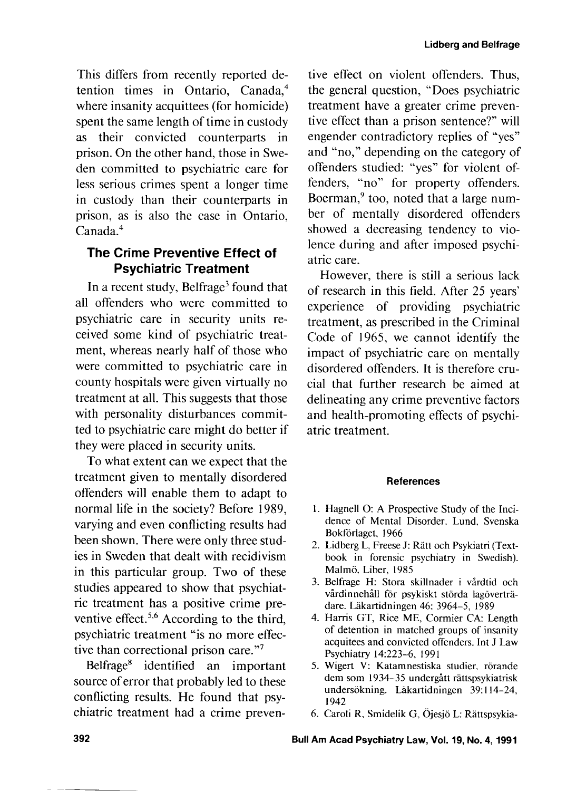This differs from recently reported detention times in Ontario, Canada,4 where insanity acquittees (for homicide) spent the same length of time in custody as their convicted counterparts in prison. On the other hand, those in Sweden committed to psychiatric care for less serious crimes spent a longer time in custody than their counterparts in prison, as is also the case in Ontario, Canada.4

## **The Crime Preventive Effect of Psychiatric Treatment**

In a recent study, Belfrage<sup>3</sup> found that all offenders who were committed to psychiatric care in security units received some kind of psychiatric treatment, whereas nearly half of those who were committed to psychiatric care in county hospitals were given virtually no treatment at all. This suggests that those with personality disturbances committed to psychiatric care might do better if they were placed in security units.

To what extent can we expect that the treatment given to mentally disordered offenders will enable them to adapt to normal life in the society? Before 1989, varying and even conflicting results had been shown. There were only three studies in Sweden that dealt with recidivism in this particular group. Two of these studies appeared to show that psychiatric treatment has a positive crime preventive effect.<sup>5,6</sup> According to the third, psychiatric treatment "is no more effective than correctional prison care."<sup>7</sup>

Belfrage8 identified an important source of error that probably led to these conflicting results. He found that psychiatric treatment had a crime preventive effect on violent offenders. Thus, the general question, "Does psychiatric treatment have a greater crime preventive effect than a prison sentence?" will engender contradictory replies of "yes" and "no," depending on the category of offenders studied: "yes" for violent offenders, "no" for property offenders. Boerman,<sup>9</sup> too, noted that a large number of mentally disordered offenders showed a decreasing tendency to violence during and after imposed psychiatric care.

However, there is still a serious lack of research in this field. After 25 years' experience of providing psychiatric treatment, as prescribed in the Criminal Code of 1965, we cannot identify the impact of psychiatric care on mentally disordered offenders. It is therefore crucial that further research be aimed at delineating any crime preventive factors and health-promoting effects of psychiatric treatment.

#### **References**

- 1. Hagnell O: A Prospective Study of the Incidence of Mental Disorder. Lund. Svenska Bokförlaget, 1966
- 2. Lidberg L, Freese J: Rätt och Psykiatri (Textbook in forensic psychiatry in Swedish). Malmö. Liber, 1985
- 3. Belfrage H: Stora skillnader i vårdtid och vårdinnehåll för psykiskt störda lagöverträdare. Lakartidningen 46: 3964-5, 1989
- 4. Harris GT, Rice ME, Cormier CA: Length of detention in matched groups of insanity acquitees and convicted offenders. Int J Law Psychiatry 14:223-6, 199 1
- 5. Wigert V: Katamnestiska studier, rörande dem som 1934–35 undergått rättspsykiatrisk undersökning. Läkartidningen 39:114-24, 1942
- 6. Caroli R, Smidelik G, Öjesjö L: Rättspsykia-